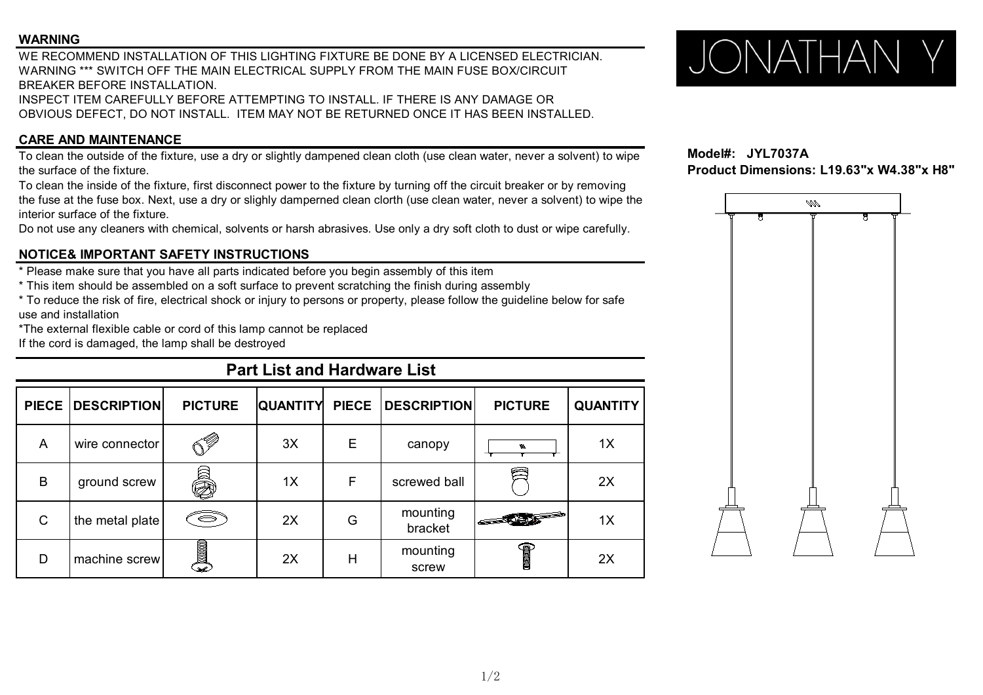#### **WARNING**

WE RECOMMEND INSTALLATION OF THIS LIGHTING FIXTURE BE DONE BY A LICENSED ELECTRICIAN. WARNING<br>WE RECOMMEND INSTALLATION OF THIS LIGHTING FIXTURE BE DONE BY A LICENSED ELECTRICIAN.<br>WARNING \*\*\* SWITCH OFF THE MAIN ELECTRICAL SUPPLY FROM THE MAIN FUSE BOX/CIRCUIT BREAKER BEFORE INSTALLATION. INSPECT ITEM CAREFULLY BEFORE ATTEMPTING TO INSTALL. IF THERE IS ANY DAMAGE OR

OBVIOUS DEFECT, DO NOT INSTALL. ITEM MAY NOT BE RETURNED ONCE IT HAS BEEN INSTALLED.

### **CARE AND MAINTENANCE**

To clean the outside of the fixture, use a dry or slightly dampened clean cloth (use clean water, never a solvent) to wipe **Model#:** JYL7037A<br>**Product Dimensions: L19.63"x W4.38"x H8"**<br>Product Dimensions: L19.63"x W4.38"x the surface of the fixture.

To clean the inside of the fixture, first disconnect power to the fixture by turning off the circuit breaker or by removing the fuse at the fuse box. Next, use a dry or slighly damperned clean clorth (use clean water, never a solvent) to wipe the interior surface of the fixture.

Do not use any cleaners with chemical, solvents or harsh abrasives. Use only a dry soft cloth to dust or wipe carefully.

### **NOTICE& IMPORTANT SAFETY INSTRUCTIONS**

\* Please make sure that you have all parts indicated before you begin assembly of this item

\* This item should be assembled on a soft surface to prevent scratching the finish during assembly

\* To reduce the risk of fire, electrical shock or injury to persons or property, please follow the guideline below for safe use and installation

\*The external flexible cable or cord of this lamp cannot be replaced

If the cord is damaged, the lamp shall be destroyed

# **Part List and Hardware List**

|   | PIECE   DESCRIPTION | <b>PICTURE</b>            |    |   | QUANTITY PIECE DESCRIPTION | <b>PICTURE</b>                                                                                                                                                                                                                                                                                                                                | <b>QUANTITY</b> |
|---|---------------------|---------------------------|----|---|----------------------------|-----------------------------------------------------------------------------------------------------------------------------------------------------------------------------------------------------------------------------------------------------------------------------------------------------------------------------------------------|-----------------|
| A | wire connector      | $\mathbb{C}^{\mathbb{Z}}$ | 3X | Е | canopy                     | w                                                                                                                                                                                                                                                                                                                                             | 1X              |
| B | ground screw        | a<br>O                    | 1X | F | screwed ball               |                                                                                                                                                                                                                                                                                                                                               | 2X              |
| C | the metal plate     | S                         | 2X | G | mounting<br>bracket        | $\overline{\phantom{a}}$                                                                                                                                                                                                                                                                                                                      | 1X              |
| D | machine screw       | $\ell$ ) and $\ell$       | 2X | н | mounting<br>screw          | $\begin{picture}(20,20) \put(0,0){\line(1,0){100}} \put(15,0){\line(1,0){100}} \put(15,0){\line(1,0){100}} \put(15,0){\line(1,0){100}} \put(15,0){\line(1,0){100}} \put(15,0){\line(1,0){100}} \put(15,0){\line(1,0){100}} \put(15,0){\line(1,0){100}} \put(15,0){\line(1,0){100}} \put(15,0){\line(1,0){100}} \put(15,0){\line(1,0){100}} \$ | 2X              |



**Model#: JYL7037A**